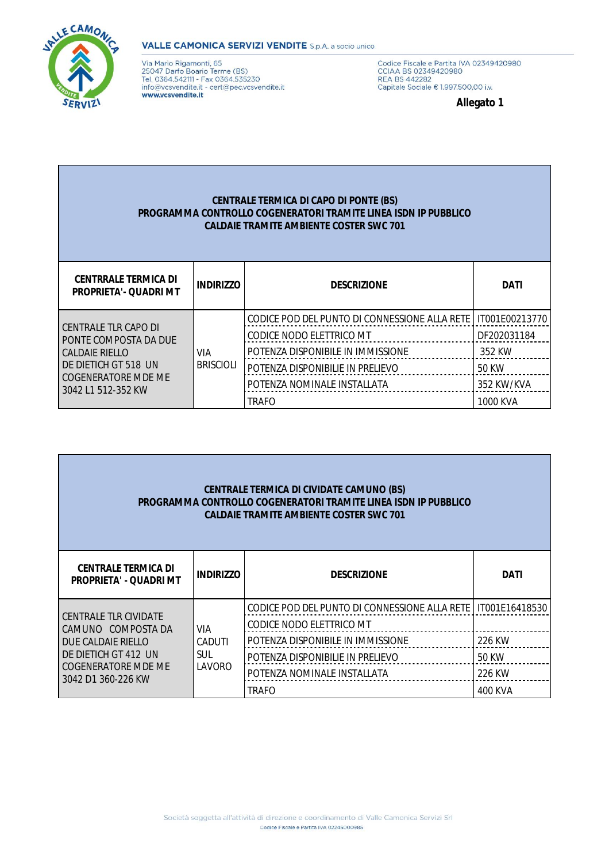

## **VALLE CAMONICA SERVIZI VENDITE** S.p.A. a socio unico

Via Mario Rigamonti, 65<br>25047 Darfo Boario Terme (BS)<br>Tel. 0364.542111 - Fax 0364.535230<br>info@vcsvendite.it - cert@pec.vcsvendite.it www.vcsvendite.it

Codice Fiscale e Partita IVA 02349420980<br>CCIAA BS 02349420980<br>REA BS 442282<br>Capitale Sociale € 1.997.500,00 i.v.

**Allegato 1**

## **CENTRALE TERMICA DI CAPO DI PONTE (BS) PROGRAMMA CONTROLLO COGENERATORI TRAMITE LINEA ISDN IP PUBBLICO CALDAIE TRAMITE AMBIENTE COSTER SWC 701**

| <b>CENTRRALE TERMICA DI</b><br><b>PROPRIETA'- QUADRI MT</b>                                                                                 | <b>INDIRIZZO</b> | <b>DESCRIZIONE</b>                            | <b>DATI</b>    |
|---------------------------------------------------------------------------------------------------------------------------------------------|------------------|-----------------------------------------------|----------------|
| CENTRALE TLR CAPO DI<br>PONTE COMPOSTA DA DUE<br><b>CALDAIE RIELLO</b><br>DE DIETICH GT 518 UN<br>COGENERATORE MDE ME<br>3042 L1 512-352 KW |                  | CODICE POD DEL PUNTO DI CONNESSIONE ALLA RETE | IT001E00213770 |
|                                                                                                                                             |                  | CODICE NODO ELETTRICO MT                      | DF202031184    |
|                                                                                                                                             | VIA              | POTENZA DISPONIBILE IN IMMISSIONE             | 352 KW         |
|                                                                                                                                             | <b>BRISCIOLI</b> | POTENZA DISPONIBILIE IN PRELIEVO              | 50 KW          |
|                                                                                                                                             |                  | POTENZA NOMINALE INSTALLATA                   | 352 KW/KVA     |
|                                                                                                                                             |                  | <b>TRAFO</b>                                  | 1000 KVA       |

| <b>CENTRALE TERMICA DI CIVIDATE CAMUNO (BS)</b><br><b>PROGRAMMA CONTROLLO COGENERATORI TRAMITE LINEA ISDN IP PUBBLICO</b><br><b>CALDAIE TRAMITE AMBIENTE COSTER SWC 701</b> |                  |                                                                           |                |
|-----------------------------------------------------------------------------------------------------------------------------------------------------------------------------|------------------|---------------------------------------------------------------------------|----------------|
| <b>CENTRALE TERMICA DI</b><br><b>PROPRIETA' - QUADRI MT</b>                                                                                                                 | <b>INDIRIZZO</b> | <b>DESCRIZIONE</b>                                                        | <b>DATI</b>    |
| <b>CENTRALE TLR CIVIDATE</b><br>CAMUNO COMPOSTA DA<br>DUE CALDAIE RIELLO<br>DE DIETICH GT 412 UN<br>COGENERATORE MDE ME<br>3042 D1 360-226 KW                               | VIA              | CODICE POD DEL PUNTO DI CONNESSIONE ALLA RETE<br>CODICE NODO ELETTRICO MT | IT001E16418530 |
|                                                                                                                                                                             | CADUTI           | POTENZA DISPONIBILE IN IMMISSIONE                                         | 226 KW         |
|                                                                                                                                                                             | SUL<br>LAVORO    | POTENZA DISPONIBILIE IN PRELIEVO                                          | 50 KW          |
|                                                                                                                                                                             |                  | POTENZA NOMINALE INSTALLATA                                               | 226 KW         |
|                                                                                                                                                                             |                  | TRAFO                                                                     | 400 KVA        |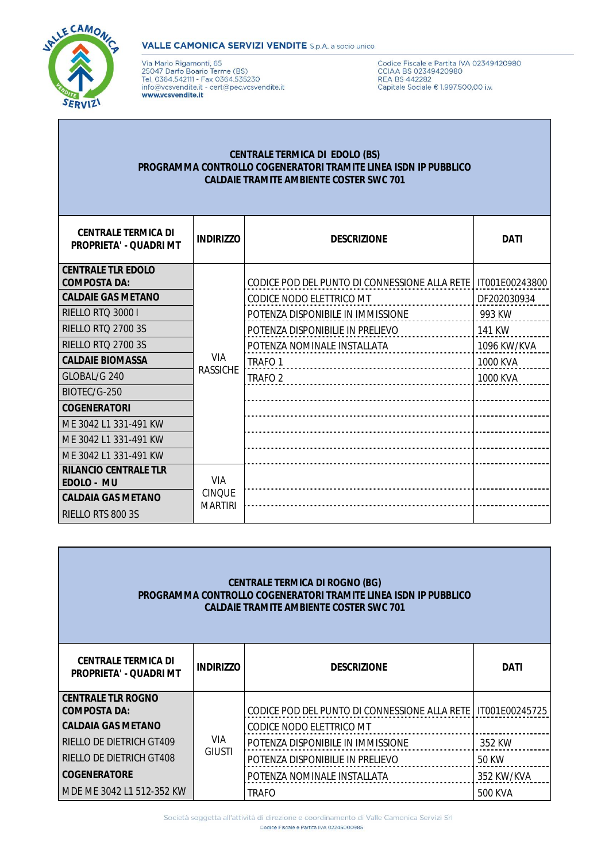

### **VALLE CAMONICA SERVIZI VENDITE** S.p.A. a socio unico

Via Mario Rigamonti, 65 variance instances<br>25047 Darfo Boario Terme (BS)<br>Tel. 0364.542111 - Fax 0364.535230<br>info@vcsvendite.it - cert@pec.vcsvendite.it www.vcsvendite.it

Codice Fiscale e Partita IVA 02349420980<br>CCIAA BS 02349420980<br>REA BS 442282<br>Capitale Sociale € 1.997.500,00 i.v.

## **CENTRALE TERMICA DI EDOLO (BS)** PROGRAMMA CONTROLLO COGENERATORI TRAMITE LINEA ISDN IP PUBBLICO **CALDAIE TRAMITE AMBIENTE COSTER SWC 701**

| <b>CENTRALE TERMICA DI</b><br><b>PROPRIETA' - QUADRI MT</b> | <b>INDIRIZZO</b>              | <b>DESCRIZIONE</b>                            | <b>DATI</b>    |
|-------------------------------------------------------------|-------------------------------|-----------------------------------------------|----------------|
| <b>CENTRALE TLR EDOLO</b><br><b>COMPOSTA DA:</b>            |                               | CODICE POD DEL PUNTO DI CONNESSIONE ALLA RETE | IT001E00243800 |
| <b>CALDAIE GAS METANO</b>                                   |                               | CODICE NODO ELETTRICO MT                      | DF202030934    |
| RIELLO RTQ 3000 I                                           |                               | POTENZA DISPONIBILE IN IMMISSIONE             | 993 KW         |
| RIELLO RTO 2700 3S                                          |                               | POTENZA DISPONIBILIE IN PRELIEVO              | 141 KW         |
| <b>RIELLO RTQ 2700 3S</b>                                   |                               | POTENZA NOMINALE INSTALLATA                   | 1096 KW/KVA    |
| <b>CALDAIE BIOMASSA</b>                                     | <b>VIA</b><br><b>RASSICHE</b> | TRAFO <sub>1</sub>                            | 1000 KVA       |
| GLOBAL/G 240                                                |                               | TRAFO <sub>2</sub>                            | 1000 KVA       |
| BIOTEC/G-250                                                |                               |                                               |                |
| <b>COGENERATORI</b>                                         |                               |                                               |                |
| ME 3042 L1 331-491 KW                                       |                               |                                               |                |
| ME 3042 L1 331-491 KW                                       |                               |                                               |                |
| ME 3042 L1 331-491 KW                                       |                               |                                               |                |
| <b>RILANCIO CENTRALE TLR</b><br>EDOLO - MU                  | <b>VIA</b><br><b>CINQUE</b>   |                                               |                |
| <b>CALDAIA GAS METANO</b>                                   | <b>MARTIRI</b>                |                                               |                |
| RIELLO RTS 800 3S                                           |                               |                                               |                |

| <b>CENTRALE TERMICA DI ROGNO (BG)</b><br><b>PROGRAMMA CONTROLLO COGENERATORI TRAMITE LINEA ISDN IP PUBBLICO</b><br><b>CALDAIE TRAMITE AMBIENTE COSTER SWC 701</b> |                             |                                                                             |                |  |
|-------------------------------------------------------------------------------------------------------------------------------------------------------------------|-----------------------------|-----------------------------------------------------------------------------|----------------|--|
| <b>CENTRALE TERMICA DI</b><br><b>PROPRIETA' - QUADRI MT</b>                                                                                                       | <b>INDIRIZZO</b>            | <b>DESCRIZIONE</b>                                                          | <b>DATI</b>    |  |
| <b>CENTRALE TLR ROGNO</b><br><b>COMPOSTA DA:</b><br><b>CALDAIA GAS METANO</b>                                                                                     |                             | CODICE POD DEL PUNTO DI CONNESSIONE ALLA RETE  <br>CODICE NODO ELETTRICO MT | IT001E00245725 |  |
| <b>RIELLO DE DIETRICH GT409</b>                                                                                                                                   | <b>VIA</b><br><b>GIUSTI</b> | POTENZA DISPONIBILE IN IMMISSIONE                                           | 352 KW         |  |
| RIELLO DE DIETRICH GT408                                                                                                                                          |                             | POTENZA DISPONIBILIE IN PRELIEVO                                            | 50 KW          |  |
| <b>COGENERATORE</b>                                                                                                                                               |                             | POTENZA NOMINALE INSTALLATA                                                 | 352 KW/KVA     |  |
| MDE ME 3042 L1 512-352 KW                                                                                                                                         |                             | TRAFO                                                                       | 500 KVA        |  |